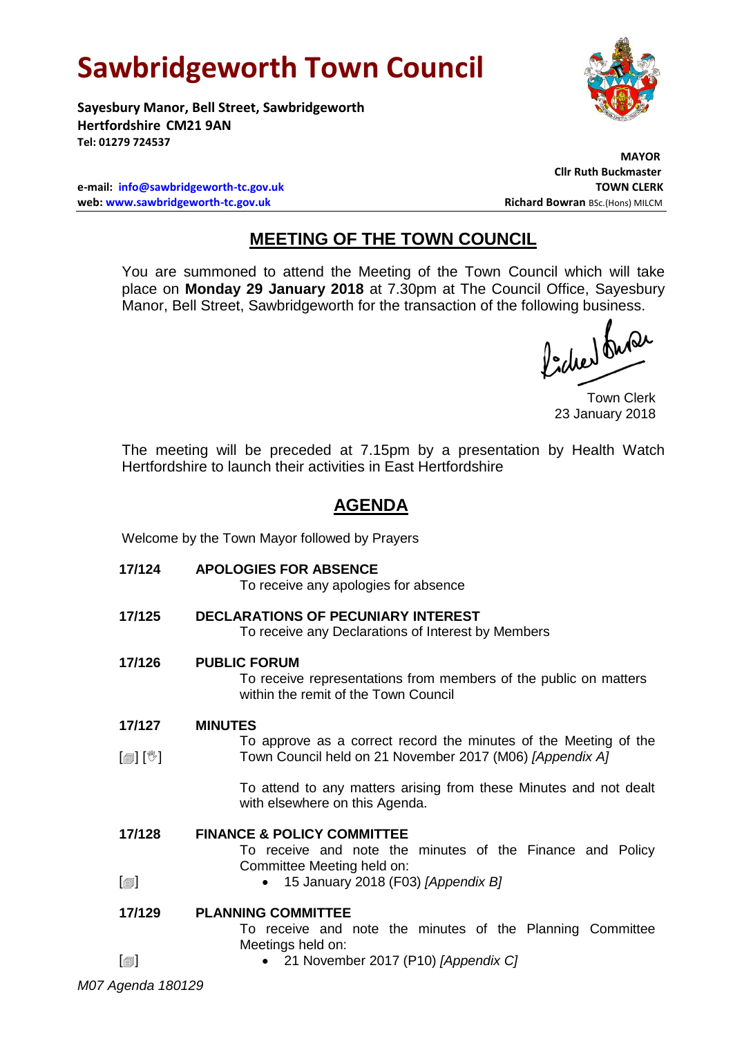# **Sawbridgeworth Town Council**

**Sayesbury Manor, Bell Street, Sawbridgeworth Hertfordshire CM21 9AN Tel: 01279 724537**

**e-mail: [info@sawbridgeworth-tc.gov.uk](mailto:info@sawbridgeworth-tc.gov.uk) TOWN CLERK web: www.sawbridgeworth-tc.gov.uk Richard Bowran BSc.(Hons) MILCM Richard Bowran BSc.(Hons) MILCM** 

# **MAYOR Cllr Ruth Buckmaster**

## **MEETING OF THE TOWN COUNCIL**

You are summoned to attend the Meeting of the Town Council which will take place on **Monday 29 January 2018** at 7.30pm at The Council Office, Sayesbury Manor, Bell Street, Sawbridgeworth for the transaction of the following business.

fideer fuse

Town Clerk 23 January 2018

The meeting will be preceded at 7.15pm by a presentation by Health Watch Hertfordshire to launch their activities in East Hertfordshire

## **AGENDA**

Welcome by the Town Mayor followed by Prayers

**17/124 APOLOGIES FOR ABSENCE**

To receive any apologies for absence

**17/125 DECLARATIONS OF PECUNIARY INTEREST** To receive any Declarations of Interest by Members

## **17/126 PUBLIC FORUM**

To receive representations from members of the public on matters within the remit of the Town Council

### **17/127 MINUTES**

 $\lceil$  [ $\mathbb{I}$ ]  $\lceil \mathbb{V} \rceil$ To approve as a correct record the minutes of the Meeting of the Town Council held on 21 November 2017 (M06) *[Appendix A]*

> To attend to any matters arising from these Minutes and not dealt with elsewhere on this Agenda.

### **17/128 FINANCE & POLICY COMMITTEE**

To receive and note the minutes of the Finance and Policy Committee Meeting held on:

 $[\blacksquare]$ 15 January 2018 (F03) *[Appendix B]*

#### **17/129 PLANNING COMMITTEE**

To receive and note the minutes of the Planning Committee Meetings held on:

 $\lceil$ 

21 November 2017 (P10) *[Appendix C]*

*M07 Agenda 180129*

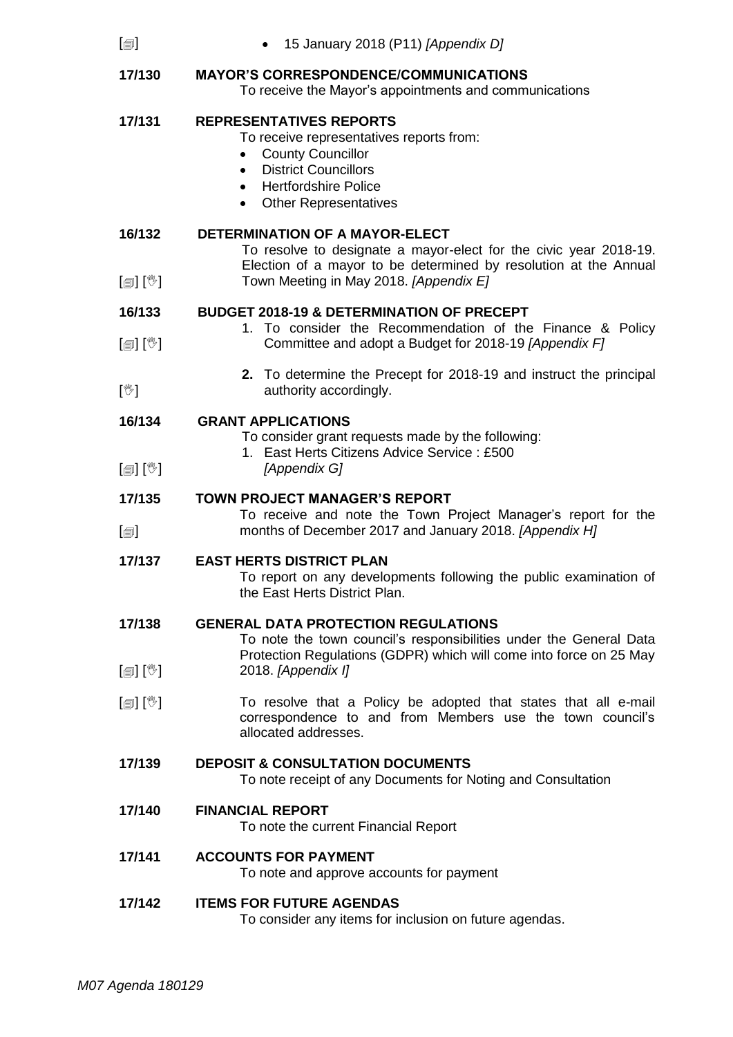| $\lbrack \circledcirc \rbrack$       | 15 January 2018 (P11) [Appendix D]                                                                                                                                                                                             |
|--------------------------------------|--------------------------------------------------------------------------------------------------------------------------------------------------------------------------------------------------------------------------------|
| 17/130                               | <b>MAYOR'S CORRESPONDENCE/COMMUNICATIONS</b><br>To receive the Mayor's appointments and communications                                                                                                                         |
| 17/131                               | <b>REPRESENTATIVES REPORTS</b><br>To receive representatives reports from:<br><b>County Councillor</b><br>$\bullet$<br><b>District Councillors</b><br>$\bullet$<br><b>Hertfordshire Police</b><br><b>Other Representatives</b> |
| 16/132                               | <b>DETERMINATION OF A MAYOR-ELECT</b><br>To resolve to designate a mayor-elect for the civic year 2018-19.<br>Election of a mayor to be determined by resolution at the Annual                                                 |
| $\mathbb{D}[\mathbb{D}^1]$           | Town Meeting in May 2018. [Appendix E]                                                                                                                                                                                         |
| 16/133<br>$[\mathbb{R}][\mathbb{C}]$ | <b>BUDGET 2018-19 &amp; DETERMINATION OF PRECEPT</b><br>1. To consider the Recommendation of the Finance & Policy<br>Committee and adopt a Budget for 2018-19 [Appendix F]                                                     |
| $[\mathbb{V}]$                       | 2. To determine the Precept for 2018-19 and instruct the principal<br>authority accordingly.                                                                                                                                   |
| 16/134                               | <b>GRANT APPLICATIONS</b>                                                                                                                                                                                                      |
| $\mathbb{D}[\mathbb{D}][\mathbb{C}]$ | To consider grant requests made by the following:<br>1. East Herts Citizens Advice Service: £500<br>[Appendix G]                                                                                                               |
|                                      | <b>TOWN PROJECT MANAGER'S REPORT</b>                                                                                                                                                                                           |
| 17/135                               |                                                                                                                                                                                                                                |
| $\lceil$                             | To receive and note the Town Project Manager's report for the<br>months of December 2017 and January 2018. [Appendix H]                                                                                                        |
| 17/137                               | <b>EAST HERTS DISTRICT PLAN</b><br>To report on any developments following the public examination of<br>the East Herts District Plan.                                                                                          |
| 17/138                               | <b>GENERAL DATA PROTECTION REGULATIONS</b><br>To note the town council's responsibilities under the General Data                                                                                                               |
| $\mathbb{D}[\mathbb{D}^1]$           | Protection Regulations (GDPR) which will come into force on 25 May<br>2018. [Appendix I]                                                                                                                                       |
| $\mathbb{D}[\mathbb{D}^1]$           | To resolve that a Policy be adopted that states that all e-mail<br>correspondence to and from Members use the town council's<br>allocated addresses.                                                                           |
| 17/139                               | <b>DEPOSIT &amp; CONSULTATION DOCUMENTS</b><br>To note receipt of any Documents for Noting and Consultation                                                                                                                    |
| 17/140                               | <b>FINANCIAL REPORT</b><br>To note the current Financial Report                                                                                                                                                                |
| 17/141                               | <b>ACCOUNTS FOR PAYMENT</b><br>To note and approve accounts for payment                                                                                                                                                        |